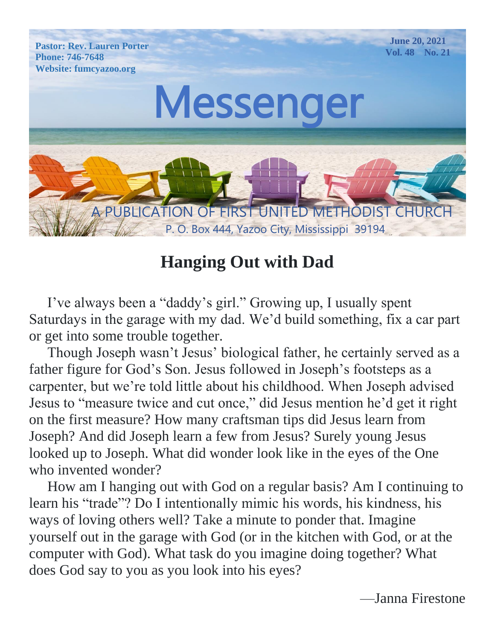

# **Hanging Out with Dad**

 I've always been a "daddy's girl." Growing up, I usually spent Saturdays in the garage with my dad. We'd build something, fix a car part or get into some trouble together.

 Though Joseph wasn't Jesus' biological father, he certainly served as a father figure for God's Son. Jesus followed in Joseph's footsteps as a carpenter, but we're told little about his childhood. When Joseph advised Jesus to "measure twice and cut once," did Jesus mention he'd get it right on the first measure? How many craftsman tips did Jesus learn from Joseph? And did Joseph learn a few from Jesus? Surely young Jesus looked up to Joseph. What did wonder look like in the eyes of the One who invented wonder?

 How am I hanging out with God on a regular basis? Am I continuing to learn his "trade"? Do I intentionally mimic his words, his kindness, his ways of loving others well? Take a minute to ponder that. Imagine yourself out in the garage with God (or in the kitchen with God, or at the computer with God). What task do you imagine doing together? What does God say to you as you look into his eyes?

—Janna Firestone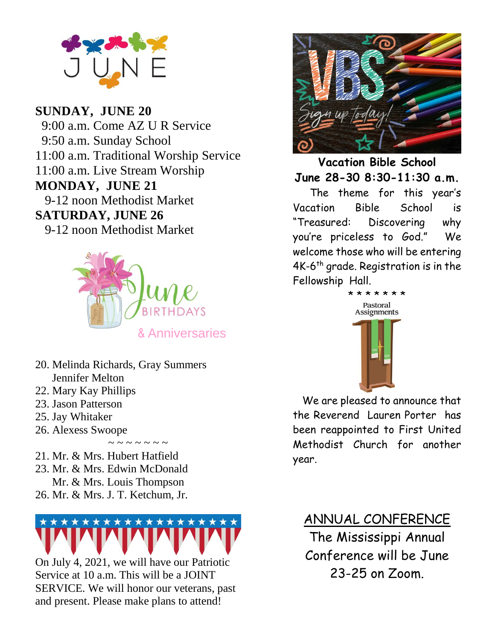

#### **SUNDAY, JUNE 20**

9-12 noon Methodist Market **SATURDAY, JUNE 26** 9-12 noon Methodist Market 9:00 a.m. Come AZ U R Service 9:50 a.m. Sunday School 11:00 a.m. Traditional Worship Service 11:00 a.m. Live Stream Worship **MONDAY, JUNE 21**



- 20. Melinda Richards, Gray Summers Jennifer Melton
- 22. Mary Kay Phillips
- 23. Jason Patterson
- 25. Jay Whitaker
- 26. Alexess Swoope
- 21. Mr. & Mrs. Hubert Hatfield
- 23. Mr. & Mrs. Edwin McDonald Mr. & Mrs. Louis Thompson
- 26. Mr. & Mrs. J. T. Ketchum, Jr.



 $\sim$   $\sim$   $\sim$   $\sim$   $\sim$   $\sim$ 

On July 4, 2021, we will have our Patriotic Service at 10 a.m. This will be a JOINT SERVICE. We will honor our veterans, past and present. Please make plans to attend!



**Vacation Bible School June 28-30 8:30-11:30 a.m.**

 The theme for this year's Vacation Bible School is "Treasured: Discovering why you're priceless to God." We welcome those who will be entering 4K-6<sup>th</sup> grade. Registration is in the Fellowship Hall.



 We are pleased to announce that the Reverend Lauren Porter has been reappointed to First United Methodist Church for another year.

ANNUAL CONFERENCE The Mississippi Annual Conference will be June 23-25 on Zoom.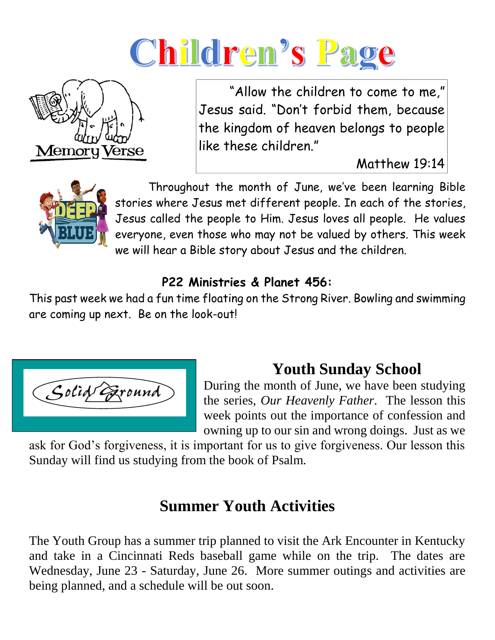# Children's Page



 "Allow the children to come to me," Jesus said. "Don't forbid them, because the kingdom of heaven belongs to people like these children."

Matthew 19:14



 Throughout the month of June, we've been learning Bible stories where Jesus met different people. In each of the stories, Jesus called the people to Him. Jesus loves all people. He values everyone, even those who may not be valued by others. This week we will hear a Bible story about Jesus and the children.

#### **P22 Ministries & Planet 456:**

This past week we had a fun time floating on the Strong River. Bowling and swimming are coming up next. Be on the look-out!



# **Youth Sunday School**

During the month of June, we have been studying the series, *Our Heavenly Father*. The lesson this week points out the importance of confession and owning up to our sin and wrong doings. Just as we

ask for God's forgiveness, it is important for us to give forgiveness. Our lesson this Sunday will find us studying from the book of Psalm.

# **Summer Youth Activities**

The Youth Group has a summer trip planned to visit the Ark Encounter in Kentucky and take in a Cincinnati Reds baseball game while on the trip. The dates are Wednesday, June 23 - Saturday, June 26. More summer outings and activities are being planned, and a schedule will be out soon.